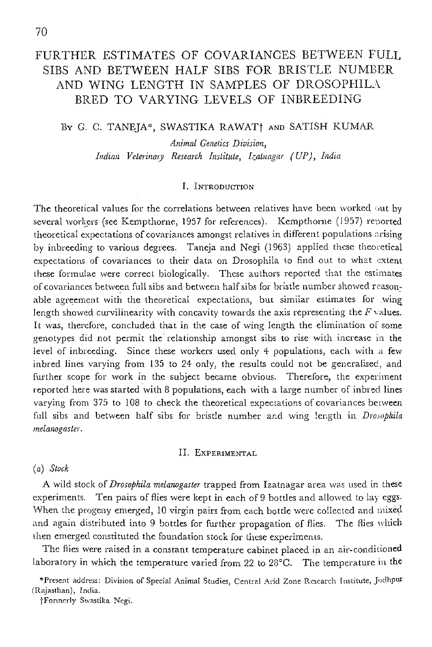# **FURTHER ESTIMATES OF COVARIANCES BETWEEN** *FULL*  **SIBS AND BETWEEN HALF SIBS FOR BRISTLE NUMBER AND WING LENGTH IN SAMPLES OF DROSOPHILA BRED TO VARYING LEVELS OF INBREEDING**

#### BY G. C. TANEJA\*, SWASTIKA RAWAT<sup>+</sup> AND SATISH KUMAR

*Animal Genetics Division,*  Indian Veterinary Research Institute, Izatnagar (UP), India

#### I. INTRODUCTION

The theoretical values for the correlations between relatives have been worked out by several workers (see Kempthorne, 1957 for references). Kempthorne (1957) reported theoretical expectations of covariances amongst relatives in different populations arising by inbreeding to various degrees. Taneja and Negi (1963) applied these theoretical expectations of covariances to their data on Drosophila to find out to what extent these formulae were correct biologically. These authors reported that the estimates of covariances between full sibs and between half sibs for bristle number showed reasonable agreement with the theoretical expectations, but similar estimates for wing. length showed curvilinearity with concavity towards the axis representing the  $F$  values. It was, therefore, concluded that in the case of wing lengtk the elimination of some genotypes did not permit the relationship amongst sibs to rise with increase in the level of inbreeding. Since these workers used. onty 4 populations, each with a few inbred lines varying from 135 to 24 only, the results could not be generalised, and further scope for work in the subject became obvious. Therefore, the experiment reported here was started with 8 populations, each with a large number of inbred lines varying from 375 to 108 to check the theoretical expectations of covariances between full sibs and between half sibs for bristle number and wing length in *Drosophila melanogaster.* 

#### II. LXPERIMENTAL

#### *(a) Stock*

A wild stock of *Drosophila melanogaster* trapped from Izatnagar area was used in these experiments. Ten pairs of flies were kept in each of 9 bottles and allowed to lay eggs. When the progeny emerged, 10 virgin pairs from each bottle were collected and mixed and again distributed into 9 bottles for further propagation of flies. The flies which then emerged constituted the foundation stock for these experiments.

The flies were raised in a constant temperature cabinet placed in an air-conditioned laboratory in which the temperature varied from 22 to 28 $\degree$ C. The temperature in the

\*Present address: Division of Spec[aI AnimaI Studies, Central Arid Zone Research institute, Jodhpur: (Rajasthan), India.

~'Formcrly Swastika Negi.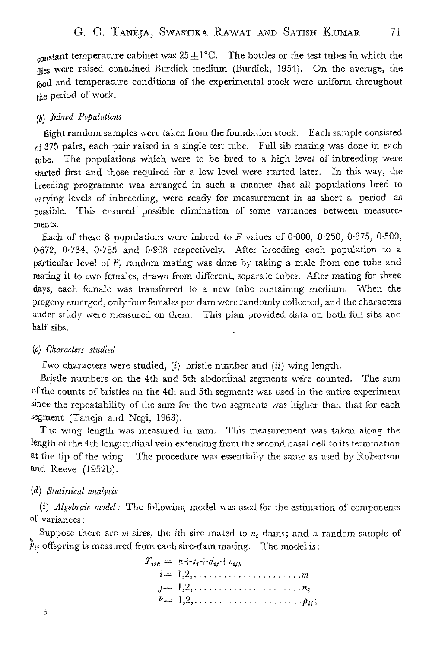constant temperature cabinet was  $25\pm1^{\circ}$ C. The bottles or the test tubes in which the flies were raised contained Burdick medium (Burdick, 1954). On the average, the *food* and temperature conditions of the experimental stock were uniform throughout the period of work.

# *(b) Inbred Popzdations*

Eight random samples were taken from the foundation stock. Each sample consisted of 375 pairs, each pair raised in a single test tube. Full sib mating was done in each tube. The populations which were to be bred to a high level of inbreeding were started first and those required for a low level were started later. In this way, the breeding programme was arranged in such a manner that all populations bred to varying levels of inbreeding, were ready for measurement in as short a period as possible. This ensured possible elimination of some variances between measurements.

Each of these 8 populations were inbred to F values of 0.000, 0.250, 0.375, 0.500,  $0.672$ ,  $0.734$ ,  $0.785$  and  $0.908$  respectively. After breeding each population to a particular level of  $F<sub>z</sub>$  random mating was done by taking a male from one tube and mating it to two females, drawn from different, separate tubes. After mating for three days, each female was transferred to a new tube containing medium. When the progeny emerged, only four females per dam were randomly collected, and the characters under study were measured on them. This plan provided data on both full sibs and half sibs.

# *(c) Characters studied*

Two characters were studied,  $(i)$  bristle number and  $(ii)$  wing length.

Bristle numbers on the 4th and 5th abdominaI segments were counted. The sum of the counts of bristles on the 4th and 5th segments was used in the entire experiment since the repeatability of the sum for the two segments was higher than that for each segment (Taneja and Negi, 1963).

The wing length was measured in mm. This measurement was taken along the length of the 4th longitudinal vein extending from the second basal cell to its termination at the tip of the wing. The procedure was essentially the same as used by Robertson and Reeve (1952b).

# *(el) Statistical analysis*

*(i) Algebraic model:* The following model was used for the estimation of components of variances :

Suppose there are m sires, the *i*th sire mated to  $n_i$  dams; and a random sample of  $h_{ij}$  offspring is measured from each site-dam mating. The model is:

| $\mathcal{X}_{ijk} = u + s_i + d_{ij} + e_{ijk}$            |
|-------------------------------------------------------------|
| $i=1,2,\ldots,\ldots,\ldots,\ldots,\ldots,m$                |
| $j=1,2,\ldots,\ldots,\ldots,\ldots,\ldots,\ldots,n_i$       |
| $k = 1, 2, \ldots, \ldots, \ldots, \ldots, \ldots, p_{ij};$ |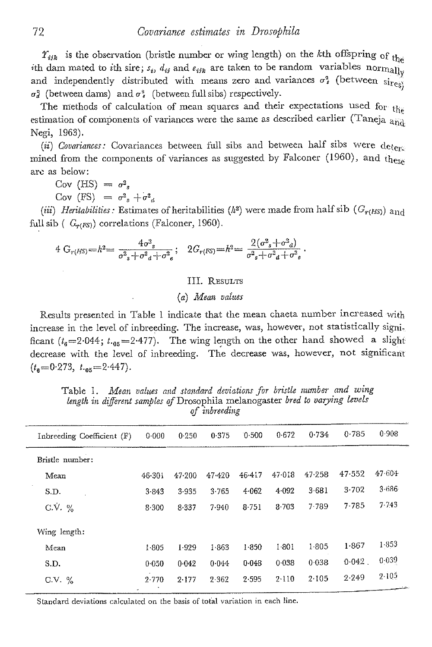$\gamma_{ijk}$  is the observation (bristle number or wing length) on the kth offspring of the ith dam mated to ith sire;  $s_i$ ,  $d_{ij}$  and  $e_{ijk}$  are taken to be random variables normally and independently distributed with means zero and variances  $\sigma_s^2$  (between  $s_i$ <sub>res)</sub>  $\sigma_d^s$  (between dams) and  $\sigma_s^s$  (between full sibs) respectively.

The methods of calculation of mean squares and their expectations used for the estimation of components of variances were the same as described earlier (Taneja  $_{\text{and}}$ Negi, 1963).

(ii) Covariances: Covariances between full sibs and between half sibs were deters mined from the components of variances as suggested by Falconer (1960), and these are as below:

Cov (HS) =  $\sigma^2$ .

Cov (FS) =  $\sigma^2$ <sub>s</sub> +  $\sigma^2$ <sub>s</sub>

(iii) Heritabilities: Estimates of heritabilities (h<sup>2</sup>) were made from half sib  $(G_{r(HS)})$  and full sib ( $G_{\gamma(FS)}$ ) correlations (Falconer, 1960).

$$
4 G_{r(HS)} = h^2 = \frac{4\sigma_s^2}{\sigma_s^2 + \sigma_d^2 + \sigma_e^2}; \quad 2 G_{r(FS)} = h^2 = \frac{2(\sigma_s^2 + \sigma_d^2)}{\sigma_s^2 + \sigma_d^2 + \sigma_e^2}.
$$

#### **III. RESULTS**

#### (a) Mean values

Results presented in Table 1 indicate that the mean chaeta number increased with increase in the level of inbreeding. The increase, was, however, not statistically significant  $(t_8=2.044; t_{.05}=2.477)$ . The wing length on the other hand showed a slight decrease with the level of inbreeding. The decrease was, however, not significant  $(t_6=0.273, t_{.05}=2.447).$ 

| Inbreeding Coefficient (F) | $0 - 000$ | 0.250      | 0.375   | 0.500  | 0.672     | 0.734   | 0.785     | 0.908  |
|----------------------------|-----------|------------|---------|--------|-----------|---------|-----------|--------|
| Bristle number:            |           |            |         |        |           |         |           |        |
| Mean                       | 46.301    | $47 - 200$ | 47420   | 46.417 | 47-018    | 47.258  | 47 552    | 47.604 |
| S.D.                       | $3 - 843$ | 3.935      | 3.765   | 4.062  | $4 - 092$ | 3 681   | 3.702     | 3.686  |
| $C.V. \%$                  | 8.300     | 8.337      | 7.940   | 8.751  | 8.703     | 7.789   | $7 - 785$ | 7.743  |
| Wing length:               |           |            |         |        |           |         |           |        |
| Mean                       | $1 - 805$ | 1-929      | 1.863   | 1.850  | 1.801     | $1-805$ | 1.867     | 1.853  |
| S.D.                       | 0.050     | 0.042      | 0.044   | 0.048  | 0.038     | 0.038   | $0.042$ . | 0.039  |
| $C.V. \%$                  | 2.770     | 2.177      | 2 3 6 2 | 2.595  | $2 - 110$ | 2.105   | 2.249     | 2.105  |
|                            |           |            |         |        |           |         |           |        |

Table 1. Mean values and standard deviations for bristle number and wing length in different samples of Drosophila melanogaster bred to varying levels of inbreeding

Standard deviations calculated on the basis of total variation in each line.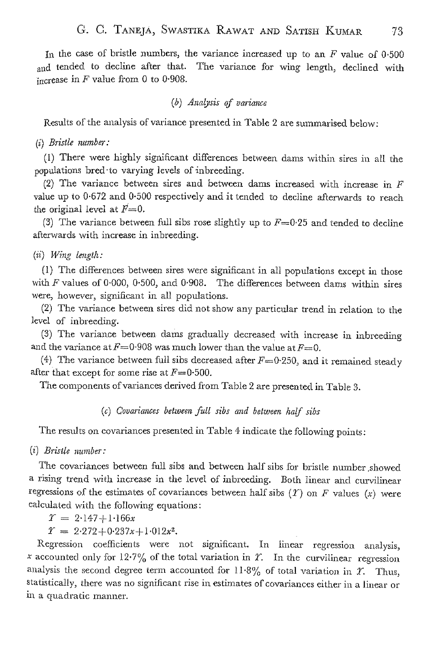In the case of bristle numbers, the variance increased up to an  $F$  value of 0.500 and tended to decline after that. The variance for wing length, declined with increase in  $F$  value from 0 to 0.908.

### *(b) Analysis of variance*

Results of the analysis of variance presented in Table 2 are summarised below:

*(i) BHstle number:* 

(1) There were highly significant differences between dams within sires in all the populations bred to varying levels of inbreeding.

(2) The variance between sires and between dams increased with increase in  $F$ value up to 0.672 and 0.500 respectively and it tended to decline afterwards to reach the original level at  $F=0$ .

(3) The variance between full sibs rose slightly up to  $F=0.25$  and tended to decline afterwards with increase in inbreeding.

### $(i)$  *Wing length:*

(1) The differences between sires were significant in all populations except in those with  $F$  values of 0.000, 0.500, and 0.908. The differences between dams within sires were, however, significant in all populations.

(2) The variance between sires did not show any particular trend in relation to the level of inbreeding.

(3) The variance between dams gradually decreased with increase in inbreeding and the variance at  $F=0.908$  was much lower than the value at  $F=0$ .

(4) The variance between full sibs decreased after  $F=0.250$ , and it remained steady after that except for some rise at  $F=0.500$ .

The components of variances derived from Table 2 are presented in Table 3.

### $(c)$  Govariances between full sibs and between half sibs

The results on covariances presented in Table  $4$  indicate the following points:

*(i) ~ristle 7~umber :* 

The covariances between full sibs and between half sibs for bristle number showed a rising trend with increase in the level of inbreeding. Both linear and curvilinear regressions of the estimates of covariances between half sibs  $(T)$  on F values  $(x)$  were calculated with the following equations:

 $\Upsilon = 2.147 + 1.166x$ 

$$
Y = 2.272 + 0.237x + 1.012x^2.
$$

Regression coefficients were not significant. In linear regression analysis, x accounted only for 12.7% of the total variation in  $\mathcal{X}$ . In the curvilinear regression analysis the second degree term accounted for  $11.8\%$  of total variation in *T*. Thus, statistically, there was no significant rise in estimates of covariances either in a linear or in a quadratic manner.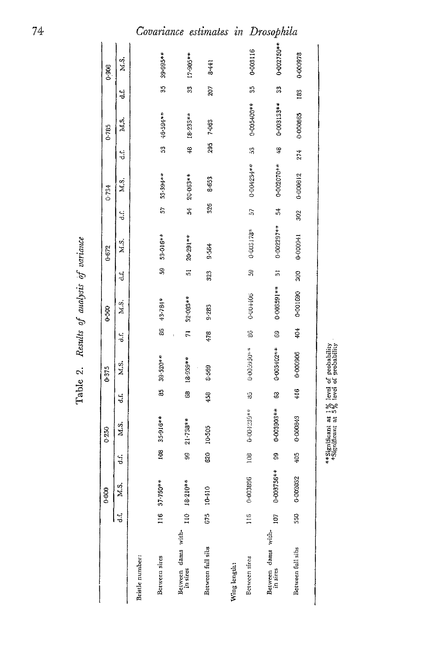|       |         |                 | Covariance     |                                | estimates         |              |                 | in Drosophila                  |                   |                                                                                     |
|-------|---------|-----------------|----------------|--------------------------------|-------------------|--------------|-----------------|--------------------------------|-------------------|-------------------------------------------------------------------------------------|
| 0.908 | М. 5.   |                 | 39-995**       | $17.905**$                     | 8-441             |              | 0-003116        | $0.002750**$                   | 0-000978          |                                                                                     |
|       | ti<br>J |                 | 55             | 33                             | 207               |              | 55              | S.                             | 185               |                                                                                     |
| 0.785 | M.S.    |                 | 46.594**       | 18-233**                       | 7-063             |              | 0-005400**      | $0 - 003133**$                 | 0.000865          |                                                                                     |
|       | 늰       |                 | S.             | ¥                              | 295               |              | S.              | Ŧ                              | 274               |                                                                                     |
| 0.734 | M.S.    |                 | 55-394**       | 20.063**                       | 8.653             |              | $0.004234**$    | 0-002070**                     | 0-000812          |                                                                                     |
|       | 는       |                 | 57             | 54                             | 326               |              | $\overline{5}$  | 54                             | 302               |                                                                                     |
| 0-672 | M S.    |                 | 53-016**       | 20-291**                       | 9-564             |              | 0-003178*       | 0.002297**                     | 0-000941          |                                                                                     |
|       | ي:<br>ت |                 | S              | $\frac{1}{2}$                  | 523               |              | 39              | $\overline{5}$                 | ន្ល               |                                                                                     |
| 0.500 | M.S.    |                 | 43.784*        | 32-083**                       | 9-283             |              | 0-00+406        | $0.003591**$                   | 0-001090          |                                                                                     |
|       | ان<br>م |                 | g              | $\overline{z}$                 | 64                |              | Z               | යු                             | 404               |                                                                                     |
| 0.375 | M.S.    |                 | 39-520**       | 18.939**                       | 8.569             |              | 0-005930**      | 0-005402**                     | 0-000906          |                                                                                     |
|       | ان<br>ت |                 | 85             | 3                              | 458               |              | B               | G                              | 416               |                                                                                     |
| 0.250 | M S.    |                 | 35-916**       | 21-738**                       | 10-505            |              | 0-004239 **     | 0-003903**                     | 0-000843          | **Significant at 1% level of probability<br>*Significant at 5% level of probability |
|       | ti<br>U |                 | 108            | g                              | 820               |              | 106             | g                              | 405               |                                                                                     |
| 0.000 | M.S.    |                 | $116$ 37.750** | $110.18-210$ <sup>34</sup>     | 675 10-110        |              | 0-003896        | 0-003755**                     | 0-002032          |                                                                                     |
|       | ť       |                 |                |                                |                   |              | $\frac{16}{11}$ | 107                            | 550               |                                                                                     |
|       |         | Bristle number: | Between sires  | Between dams with-<br>in sires | Between full sibs | Wing length: | Between sires   | Between dams with-<br>in sites | Between full sibs |                                                                                     |

Table 2. Results of analysis of variance

 $74$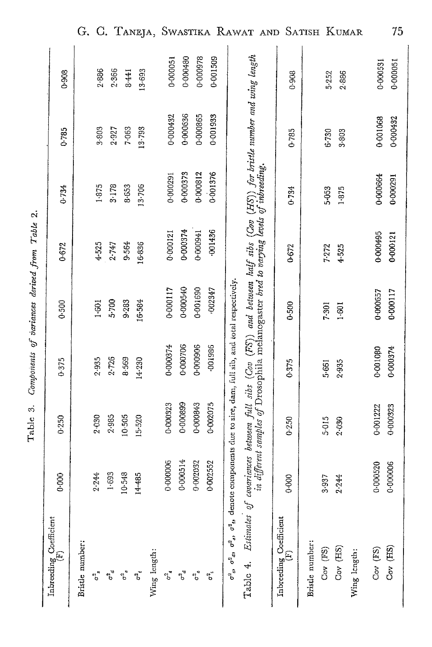| Inbreeding Coefficient<br>$(\mathrm{F})$                                                                                       | 0.000     | $0 - 250$ | 0.375    | 0.500     | 0.672    | 0.734    | 0.785                                                                                                                                                                                                              | 0.908    |
|--------------------------------------------------------------------------------------------------------------------------------|-----------|-----------|----------|-----------|----------|----------|--------------------------------------------------------------------------------------------------------------------------------------------------------------------------------------------------------------------|----------|
| Bristle number:                                                                                                                |           |           |          |           |          |          |                                                                                                                                                                                                                    |          |
| $\sigma_{\rm o}^{\rm u}$                                                                                                       | 2-244     | 2.030     | 2995     | $1 - 601$ | 4.525    | 1.875    | 3.803                                                                                                                                                                                                              | 2.886    |
| $\sigma^2_d$                                                                                                                   | 1.693     | 2.985     | 2.726    | 5-700     | 2.747    | 3.178    | 2.927                                                                                                                                                                                                              | 2.366    |
| ه<br>0                                                                                                                         | 10-548    | 10.505    | 8.569    | 9.283     | 9.564    | 8-653    | 7.063                                                                                                                                                                                                              | 8441     |
| وي                                                                                                                             | 14.485    | 15-520    | 14.230   | 16-584    | 16-836   | 13-706   | 13-793                                                                                                                                                                                                             | 13-693   |
| Wing length:                                                                                                                   |           |           |          |           |          |          |                                                                                                                                                                                                                    |          |
| م<br>م                                                                                                                         | 0.000006  | 0.000323  | 0.000374 | 0.000117  | 0.00012  | 0.000291 | 0.000432                                                                                                                                                                                                           | 0-000051 |
| ್ಚೆ                                                                                                                            | 0-000514  | 0.000899  | 0.000706 | 0-000540  | 0-000374 | 0.000373 | 0-000636                                                                                                                                                                                                           | 0.000480 |
| $\sigma_a^2$                                                                                                                   | 0.002032  | 0-000843  | 0.000906 | 0-001690  | 0-000941 | 0.000812 | 0-000865                                                                                                                                                                                                           | 0.000978 |
| .<br>0                                                                                                                         | 002552    | 0.002075  | 001986   | 002347    | -001436  | 0.001376 | 0.001933                                                                                                                                                                                                           | 0-001509 |
| $\sigma^2_{\ a}$ , $\sigma^2_{\ a}$ , $\sigma^2_{\ a}$ , denote components due to sire, dam, full sib, and iotal respectively. |           |           |          |           |          |          |                                                                                                                                                                                                                    |          |
| Table 4.                                                                                                                       |           |           |          |           |          |          | Estimates of covariances between full sibs (Cov (FS)) and between half sibs (Cov (HS)) for bristle number and wing length<br>in different samples of Drosophila melanogaster bred to varying levels of inbreeding. |          |
| Inbreeding Coefficient<br>(F)                                                                                                  | 0.000     | 0.250     | 0.375    | 0.500     | 0.672    | 0.734    | 0.785                                                                                                                                                                                                              | 0.908    |
| Bristle number:<br>Cov (FS)                                                                                                    | 937       | 5-015     | 5-661    | 7-301     | 7.272    | 5-053    | 6-730                                                                                                                                                                                                              | 5-252    |
| Cov (HS)                                                                                                                       | .244<br>N | 2.030     | 2.935    | 1.601     | 4.525    | 1.875    | 3.803                                                                                                                                                                                                              | 2.886    |
| Wing length:                                                                                                                   |           |           |          |           |          |          |                                                                                                                                                                                                                    |          |
| Cov $(FS)$                                                                                                                     | 000520    | 0.001222  | 0.001080 | 0.000657  | 0.000495 | 0-000664 | 0.001068                                                                                                                                                                                                           | 0-000531 |
| $Cov$ (HS)                                                                                                                     | -000006   | 0-000323  | 0-000374 | 0.000117  | 0.000121 | 0-000291 | 0.000432                                                                                                                                                                                                           | 0-000051 |

Table 3. Components of variances derived from Table 2.

75

G. C. TANEJA, SWASTIKA RAWAT AND SATISH KUMAR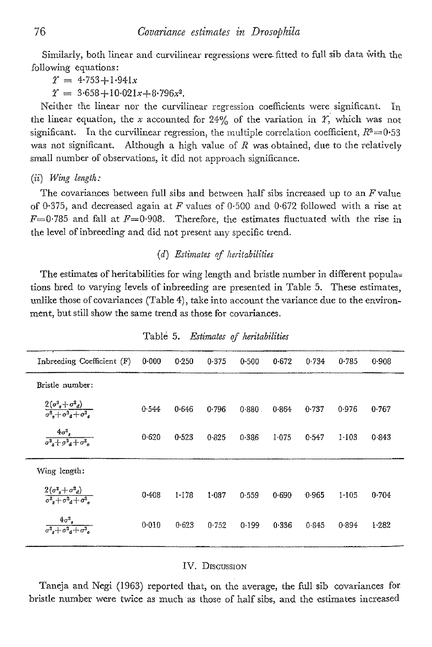Similarly, both linear and curvilinear regressions were fitted to full sib data with the following equations :

 $\Upsilon = 4.753 + 1.941x$ 

 $\Upsilon = 3.658 + 10.021x + 8.796x^2$ .

Neither the linear nor the curvilinear regression coefficients were significant. In the linear equation, the x accounted for 24% of the variation in  $T$ , which was not significant. In the curvilinear regression, the multiple correlation coefficient,  $R^2$ =0.53 was not significant. Although a high value of  $R$  was obtained, due to the relatively small number of observations, it did not approach significance.

*(ii) Wing length:* 

The covariances between full sibs and between half sibs increased up to an  $F$  value of 0.375, and decreased again at F values of 0.500 and 0.672 followed with a rise at  $F=0.785$  and fall at  $F=0.908$ . Therefore, the estimates fluctuated with the rise in the level of inbreeding and did not present any specific trend.

### *(d) Estimates of heritabilities*

The estimates of heritabilities for wing length and bristle number in different popula $\ast$ tions bred to varying levels of inbreeding are presented in Table 5. These estimates, unlike those of covariances (Table 4), take into account the variance due to the environment, but still show the same trend as those for covariances.

| Inbreeding Coefficient (F)                                                                                     | 0.000 | 0.250 | 0.375 | 0.500  | 0.672   | 0.734 | 0.785   | 0.908 |
|----------------------------------------------------------------------------------------------------------------|-------|-------|-------|--------|---------|-------|---------|-------|
| Bristle number:                                                                                                |       |       |       |        |         |       |         |       |
| $\frac{2(\sigma_s^2+\sigma_d^2)}{\sigma_s^2+\sigma_d^2+\sigma_d^2}$                                            | 0.544 | 0.646 | 0.796 | 0.880. | 0.864   | 0.737 | 0.976   | 0.767 |
| $4\sigma^2$ ,<br>$\overline{\sigma^2_s + \sigma^2_d + \sigma^2_s}$                                             | 0.620 | 0.523 | 0.825 | 0.386  | 1 0 7 5 | 0.547 | $1-103$ | 0.843 |
| Wing length:                                                                                                   |       |       |       |        |         |       |         |       |
| $\frac{2(\sigma^2 + \sigma^2)}{\sigma^2 + \sigma^2 + \sigma^2 + \sigma^2}$                                     | 0.408 | 1.178 | 1.087 | 0.559  | 0.690   | 0.965 | 1.105   | 0.704 |
| $4\sigma^2$<br>$\overline{\sigma^2 {}_\mathfrak{g}\!+\!\sigma^2 {}_\mathfrak{g}\!+\!\sigma^2 {}_\mathfrak{a}}$ | 0.010 | 0.623 | 0.752 | 0.199  | 0.336   | 0.845 | 0.894   | 1.282 |

Tabl6 5. *Estimates of heritabilities* 

#### IV. DISCUSSION

Taneja and Negi (1963) reported that, on the average, the full sib covariances for bristle number were twice as much as those of half sibs, and the estimates increased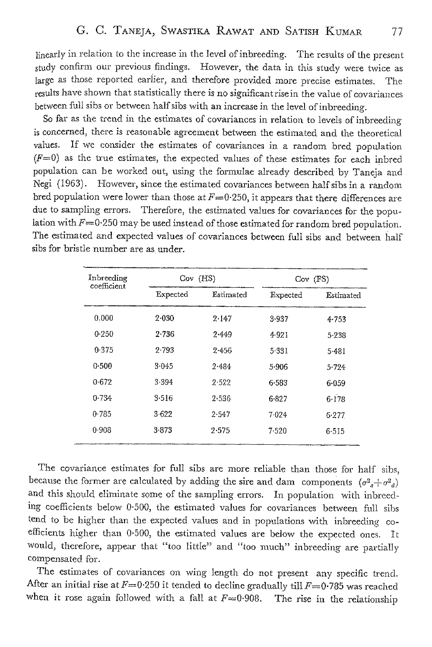linearly in relation to the increase in the level of inbreeding. The results of the present study confirm our previous findings. However, the data in this study were twice as Iarge as those reported eariier, and therefore provided more precise estimates. The results have shown that statistically there is no significantrise in the value of covariances between full sibs or between halfsibs with an increase in the level of inbreeding.

So far as the trend in the estimates of covariances in relation to levels of inbreeding is concerned, there is reasonable agreement between the estimated and the theoretical values. If we consider the estimates of covariances in a random bred population  $(F=0)$  as the true estimates, the expected values of these estimates for each inbred population, can be worked out, using the formulae already described by Taneja and Negi (1963). However, since the estimated covariances between half sibs in a random bred population were lower than those at  $F=0.250$ , it appears that there differences are due to sampling errors. Therefore, the estimated values for covariances for the population with  $F=0.250$  may be used instead of those estimated for random bred population. The estimated and expected values of covariances between full sibs and between half sibs for bristle number are as under.

| Inbreeding<br>coefficient | Cov (HS)  |           | $Cov$ (FS) |           |  |
|---------------------------|-----------|-----------|------------|-----------|--|
|                           | Expected  | Estimated | Expected   | Estimated |  |
| 0.000                     | 2.030     | 2.147     | 3.937      | $4 - 753$ |  |
| 0.250                     | 2.736     | 2.449     | 4-921      | $5 - 238$ |  |
| 0.375                     | $2 - 793$ | $2 - 456$ | 5.331      | 5.481     |  |
| 0.500                     | 3.045     | 2.484     | 5.906      | 5.724     |  |
| 0.672                     | 3.394     | 2.522     | 6.583      | 6.059     |  |
| 0.734                     | 3.516     | $2 - 536$ | 6.827      | 6.178     |  |
| 0.785                     | $3 - 622$ | 2.547     | $7-024$    | 6.277     |  |
| 0.908                     | $3 - 873$ | 2.575     | 7.520      | $6 - 515$ |  |

The covariance estimates for full sibs are more reliable than those for half sibs, because the former are calculated by adding the sire and dam components  $(\sigma^2_{\sigma} + \sigma^2_{\sigma})$ and this should eliminate some of the sampling errors. In population with inbreeding coefficients below 0.500, the estimated values for covariances between full sibs tend to be higher than the expected values and in populations with inbreeding coefficients higher than 0.500, the estimated values are below the expected ones. It would, therefore, appear that "too little" and "too much" inbreeding are partially compensated for.

The estimates of covariances on wing length do not present any specific trend. After an initial rise at  $F=0.250$  it tended to decline gradually till  $F=0.785$  was reached when it rose again followed with a fall at  $F=0.908$ . The rise in the relationship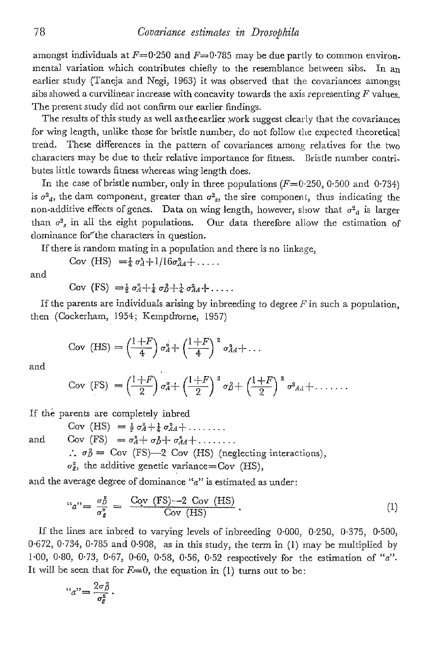amongst individuals at  $F=0.250$  and  $F=0.785$  may be due partly to common environ. mental variation which contributes chiefly to the resemblance between sibs. In an earlier study (Taneja and Negi, I963) it was observed that the covariances amongst sibs showed a curvilinear increase with concavity towards the axis representing  $F$  values. The present study did not confirm our earlier findings.

The results of this study as well as the earlier work suggest clearly that the covariances for wing length, unlike those for bristle number, do not follow the expected theoretical Lrend. These differences in the pattern of covariances among relatives for the two characters may be due to their relative importance for fitness. Bristle number contributes little towards fitness whereas wing length does.

In the case of bristle number, only in three populations  $(F=0.250, 0.500$  and  $0.734)$ is  $\sigma^2_d$ , the dam component, greater than  $\sigma^2_s$ , the sire component, thus indicating the non-additive effects of genes. Data on wing length, however, show that  $\sigma^2_d$  is larger than  $\sigma_s^2$  in all the eight populations. Our data therefore allow the estimation of dominance for'the characters in question.

If there is random mating in a population and there is no linkage,

Cov (HS)  $=\frac{1}{4}\sigma_A^3 + 1/16\sigma_A^2 + \ldots$ 

and

 $\text{Cov (FS)} = \frac{1}{2} \sigma_A^2 + \frac{1}{4} \sigma_B^2 + \frac{1}{4} \sigma_{AA}^2 + \ldots$ 

If the parents are individuals arising by inbreeding to degree  $F$  in such a population, then (Cockerham, 1954; Kempthorne, 1957)

Cov (HS) = 
$$
\left(\frac{1+F}{4}\right) \sigma_A^2 + \left(\frac{1+F}{4}\right)^2 \sigma_{AA}^2 + \dots
$$

and

Cov (FS) = 
$$
\left(\frac{1+F}{2}\right) \sigma_A^2 + \left(\frac{1+F}{2}\right)^2 \sigma_B^2 + \left(\frac{1+F}{2}\right)^2 \sigma_{A}^2 + \ldots
$$

If the parents are completely inbred

Cov (HS) =  $\frac{1}{2} \sigma_A^2 + \frac{1}{4} \sigma_A^2 + \ldots$ and Cov (FS)  $= \sigma_A^2 + \sigma_B^2 + \sigma_{AA}^2 + \ldots$ 

 $\therefore \sigma_{\theta}^2 = \text{Cov (FS)}-2 \text{ Cov (HS)}$  (neglecting interactions),

 $\sigma_{g}^{2}$ , the additive genetic variance=Cov (HS),

and the average degree of dominance " $a$ " is estimated as under:

$$
``a" = \frac{\sigma_b^2}{\sigma_s^2} = \frac{\text{Cov (FS)} - 2 \text{ Cov (HS)}}{\text{Cov (HS)}}.
$$
\n(1)

If the lines are inbred to varying levels of inbreeding 0.000, 0-250, 0.375, 0.500, 0.672, 0.734, 0.785 and 0.908, as in this study, the term in (1) may be multiplied by 1.00, 0.80, 0.73, 0.67, 0.60, 0.58, 0'56, 0.52 respectively for the estimation of "a". It will be seen that for  $F=0$ , the equation in (1) turns out to be:

$$
``a" = \frac{2\sigma_B^2}{\sigma_g^2} \, .
$$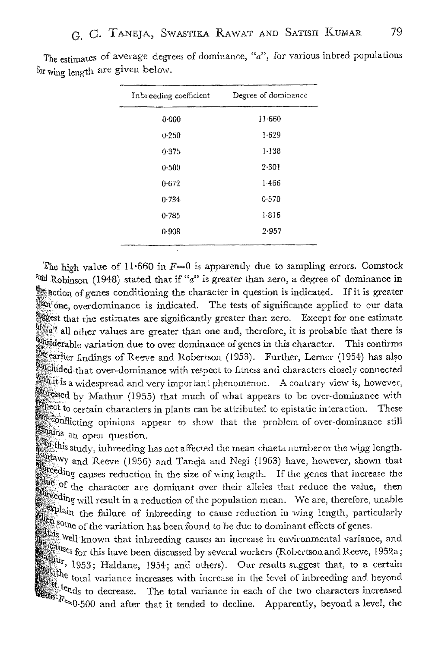| Inbreeding coefficient | Degree of dominance |
|------------------------|---------------------|
| 0.000                  | $11 - 660$          |
| 0.250                  | 1.629               |
| 0.375                  | $1 - 138$           |
| 0.500                  | 2.301               |
| 0.672                  | 1.466               |
| 0.734                  | 0.570               |
| 0.785                  | 1.816               |
| 0.908                  | 2.957               |
|                        |                     |

The estimates of average degrees of dominance, *"a",* for various inbred populations for wing length are given below.

The high value of 11.660 in  $F=0$  is apparently due to sampling errors. Comstock <sup>and</sup> Robinson (1948) stated that if "a" is greater than zero, a degree of dominance in  $\frac{1}{2}$  action of genes conditioning the character in question is indicated. If it is greater  $^{1631}_{644}$  one, overdominance is indicated. The tests of significance applied to our data  $^{906}_{988}$ est that the estimates are significantly greater than zero. Except for one estimate  $\mathbb{S}^{c_{i+1}}$  all other values are greater than one and, therefore, it is probable that there is **White** detable variation due to over dominance of genes in this character. This confirms  $^{\circ}_{\bullet\text{se}}$ carlier findings of Reeve and Robertson (1953). Further, Lerner (1954) has also **wheluded-that over-dominance with respect to fitness and characters closely connected** with the second and very important phenomenon. A contrary view is, however,  $*$  ssed by Mathur (1955) that much of what appears to be over-dominance with **Note that the community of the community of the community of the community of the community of the community of the community of the community of the community of the community of the community of the community of the com** where the conditions of the late of the late the problem of over-dominance still  $\frac{N}{2}$ <sup>1</sup>  $\frac{N}{2}$  and open question.

which is study, inbreeding has not affected the mean chaeta number or the wing length. water which, moreoning moreover that is and Negi (1963) have, however, shown that that where the causes reduction in the size of wing length. If the genes that increase the we cause i current in the case of the character are dominant over their alleles that reduce the value, then we we characted are documented in a community of the population mean. We are, therefore, unable we will testure in a reduction of the reference of the explain the failure of inbreeding to cause reduction in wing length, particularly **Figure 14** Intertation of the variation has been found to be due to dominant effects of genes.

well known that inbreeding causes an increase in environmental variance, and we known that midtedling worses in the control of the causes of this have been discussed by several workers (Robertson and Reeve, 1952a ;  $r_{\rm eff} \sim \frac{1953}{1953}$ ; Haldane, 1954; and others). Our results suggest that, to a certain suggest that, to a certain which is the total variance increases with increase in the level of inbreeding and beyond with the total variance interests the total variance in each of the two characters increased  $R \leq 0.500$  and after that it tended to decline. Apparently, beyond a level, the